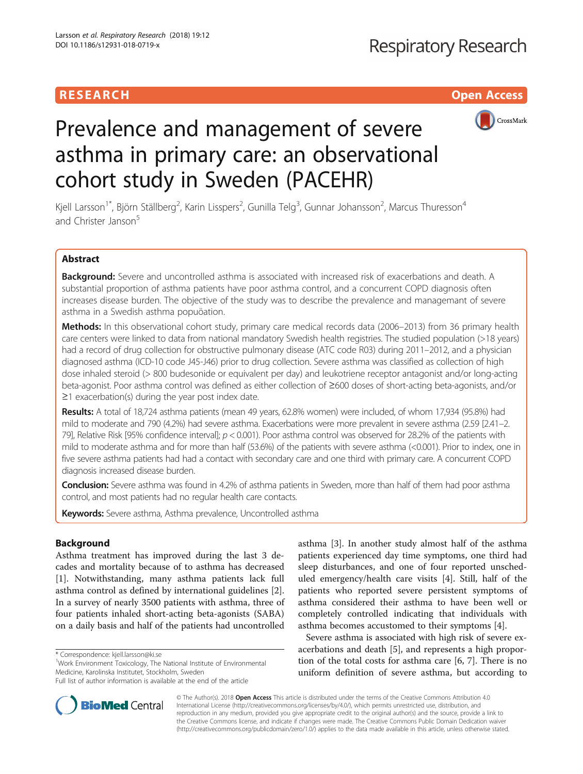## **RESEARCH CH Open Access**



# Prevalence and management of severe asthma in primary care: an observational cohort study in Sweden (PACEHR)

Kjell Larsson $^{\dagger}$ , Björn Ställberg $^2$ , Karin Lisspers $^2$ , Gunilla Telg $^3$ , Gunnar Johansson $^2$ , Marcus Thuresson $^4$ and Christer Janson<sup>5</sup>

## Abstract

Background: Severe and uncontrolled asthma is associated with increased risk of exacerbations and death. A substantial proportion of asthma patients have poor asthma control, and a concurrent COPD diagnosis often increases disease burden. The objective of the study was to describe the prevalence and managemant of severe asthma in a Swedish asthma popuöation.

Methods: In this observational cohort study, primary care medical records data (2006–2013) from 36 primary health care centers were linked to data from national mandatory Swedish health registries. The studied population (>18 years) had a record of drug collection for obstructive pulmonary disease (ATC code R03) during 2011–2012, and a physician diagnosed asthma (ICD-10 code J45-J46) prior to drug collection. Severe asthma was classified as collection of high dose inhaled steroid (> 800 budesonide or equivalent per day) and leukotriene receptor antagonist and/or long-acting beta-agonist. Poor asthma control was defined as either collection of ≥600 doses of short-acting beta-agonists, and/or ≥1 exacerbation(s) during the year post index date.

Results: A total of 18,724 asthma patients (mean 49 years, 62.8% women) were included, of whom 17,934 (95.8%) had mild to moderate and 790 (4.2%) had severe asthma. Exacerbations were more prevalent in severe asthma (2.59 [2.41–2. 79], Relative Risk [95% confidence interval];  $p < 0.001$ ). Poor asthma control was observed for 28.2% of the patients with mild to moderate asthma and for more than half (53.6%) of the patients with severe asthma (<0.001). Prior to index, one in five severe asthma patients had had a contact with secondary care and one third with primary care. A concurrent COPD diagnosis increased disease burden.

Conclusion: Severe asthma was found in 4.2% of asthma patients in Sweden, more than half of them had poor asthma control, and most patients had no regular health care contacts.

Keywords: Severe asthma, Asthma prevalence, Uncontrolled asthma

## Background

Asthma treatment has improved during the last 3 decades and mortality because of to asthma has decreased [[1\]](#page-9-0). Notwithstanding, many asthma patients lack full asthma control as defined by international guidelines [\[2](#page-9-0)]. In a survey of nearly 3500 patients with asthma, three of four patients inhaled short-acting beta-agonists (SABA) on a daily basis and half of the patients had uncontrolled



Severe asthma is associated with high risk of severe exacerbations and death [\[5](#page-9-0)], and represents a high proportion of the total costs for asthma care [\[6](#page-9-0), [7\]](#page-9-0). There is no uniform definition of severe asthma, but according to



© The Author(s). 2018 Open Access This article is distributed under the terms of the Creative Commons Attribution 4.0 International License [\(http://creativecommons.org/licenses/by/4.0/](http://creativecommons.org/licenses/by/4.0/)), which permits unrestricted use, distribution, and reproduction in any medium, provided you give appropriate credit to the original author(s) and the source, provide a link to the Creative Commons license, and indicate if changes were made. The Creative Commons Public Domain Dedication waiver [\(http://creativecommons.org/publicdomain/zero/1.0/](http://creativecommons.org/publicdomain/zero/1.0/)) applies to the data made available in this article, unless otherwise stated.

<sup>\*</sup> Correspondence: [kjell.larsson@ki.se](mailto:kjell.larsson@ki.se) <sup>1</sup>

<sup>&</sup>lt;sup>1</sup>Work Environment Toxicology, The National Institute of Environmental Medicine, Karolinska Institutet, Stockholm, Sweden

Full list of author information is available at the end of the article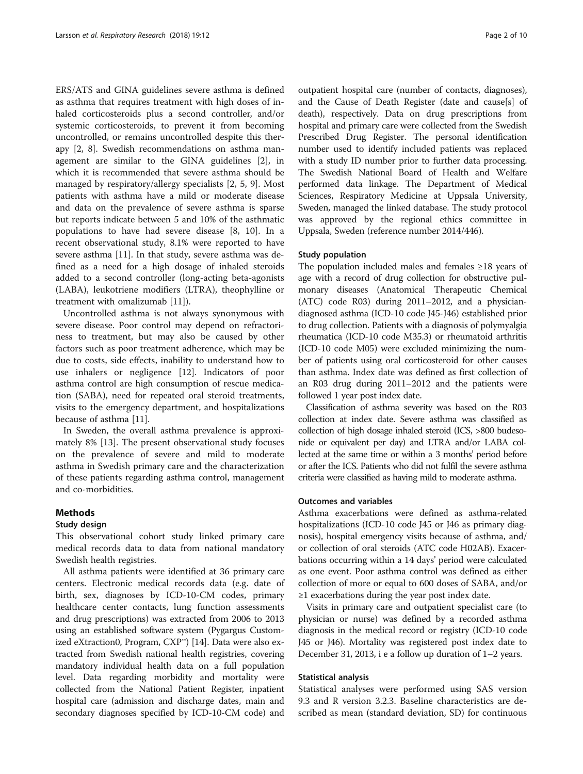ERS/ATS and GINA guidelines severe asthma is defined as asthma that requires treatment with high doses of inhaled corticosteroids plus a second controller, and/or systemic corticosteroids, to prevent it from becoming uncontrolled, or remains uncontrolled despite this therapy [\[2](#page-9-0), [8\]](#page-9-0). Swedish recommendations on asthma management are similar to the GINA guidelines [[2\]](#page-9-0), in which it is recommended that severe asthma should be managed by respiratory/allergy specialists [[2, 5](#page-9-0), [9\]](#page-9-0). Most patients with asthma have a mild or moderate disease and data on the prevalence of severe asthma is sparse but reports indicate between 5 and 10% of the asthmatic populations to have had severe disease [[8, 10\]](#page-9-0). In a recent observational study, 8.1% were reported to have severe asthma [[11\]](#page-9-0). In that study, severe asthma was defined as a need for a high dosage of inhaled steroids added to a second controller (long-acting beta-agonists (LABA), leukotriene modifiers (LTRA), theophylline or treatment with omalizumab [[11](#page-9-0)]).

Uncontrolled asthma is not always synonymous with severe disease. Poor control may depend on refractoriness to treatment, but may also be caused by other factors such as poor treatment adherence, which may be due to costs, side effects, inability to understand how to use inhalers or negligence [[12\]](#page-9-0). Indicators of poor asthma control are high consumption of rescue medication (SABA), need for repeated oral steroid treatments, visits to the emergency department, and hospitalizations because of asthma [[11\]](#page-9-0).

In Sweden, the overall asthma prevalence is approximately 8% [[13\]](#page-9-0). The present observational study focuses on the prevalence of severe and mild to moderate asthma in Swedish primary care and the characterization of these patients regarding asthma control, management and co-morbidities.

## Methods

#### Study design

This observational cohort study linked primary care medical records data to data from national mandatory Swedish health registries.

All asthma patients were identified at 36 primary care centers. Electronic medical records data (e.g. date of birth, sex, diagnoses by ICD-10-CM codes, primary healthcare center contacts, lung function assessments and drug prescriptions) was extracted from 2006 to 2013 using an established software system (Pygargus Customized eXtraction0, Program, CXP™) [[14\]](#page-9-0). Data were also extracted from Swedish national health registries, covering mandatory individual health data on a full population level. Data regarding morbidity and mortality were collected from the National Patient Register, inpatient hospital care (admission and discharge dates, main and secondary diagnoses specified by ICD-10-CM code) and outpatient hospital care (number of contacts, diagnoses), and the Cause of Death Register (date and cause[s] of death), respectively. Data on drug prescriptions from hospital and primary care were collected from the Swedish Prescribed Drug Register. The personal identification number used to identify included patients was replaced with a study ID number prior to further data processing. The Swedish National Board of Health and Welfare performed data linkage. The Department of Medical Sciences, Respiratory Medicine at Uppsala University, Sweden, managed the linked database. The study protocol was approved by the regional ethics committee in Uppsala, Sweden (reference number 2014/446).

#### Study population

The population included males and females ≥18 years of age with a record of drug collection for obstructive pulmonary diseases (Anatomical Therapeutic Chemical (ATC) code R03) during 2011–2012, and a physiciandiagnosed asthma (ICD-10 code J45-J46) established prior to drug collection. Patients with a diagnosis of polymyalgia rheumatica (ICD-10 code M35.3) or rheumatoid arthritis (ICD-10 code M05) were excluded minimizing the number of patients using oral corticosteroid for other causes than asthma. Index date was defined as first collection of an R03 drug during 2011–2012 and the patients were followed 1 year post index date.

Classification of asthma severity was based on the R03 collection at index date. Severe asthma was classified as collection of high dosage inhaled steroid (ICS, >800 budesonide or equivalent per day) and LTRA and/or LABA collected at the same time or within a 3 months' period before or after the ICS. Patients who did not fulfil the severe asthma criteria were classified as having mild to moderate asthma.

## Outcomes and variables

Asthma exacerbations were defined as asthma-related hospitalizations (ICD-10 code J45 or J46 as primary diagnosis), hospital emergency visits because of asthma, and/ or collection of oral steroids (ATC code H02AB). Exacerbations occurring within a 14 days' period were calculated as one event. Poor asthma control was defined as either collection of more or equal to 600 doses of SABA, and/or  $\geq$ 1 exacerbations during the year post index date.

Visits in primary care and outpatient specialist care (to physician or nurse) was defined by a recorded asthma diagnosis in the medical record or registry (ICD-10 code J45 or J46). Mortality was registered post index date to December 31, 2013, i e a follow up duration of 1–2 years.

## Statistical analysis

Statistical analyses were performed using SAS version 9.3 and R version 3.2.3. Baseline characteristics are described as mean (standard deviation, SD) for continuous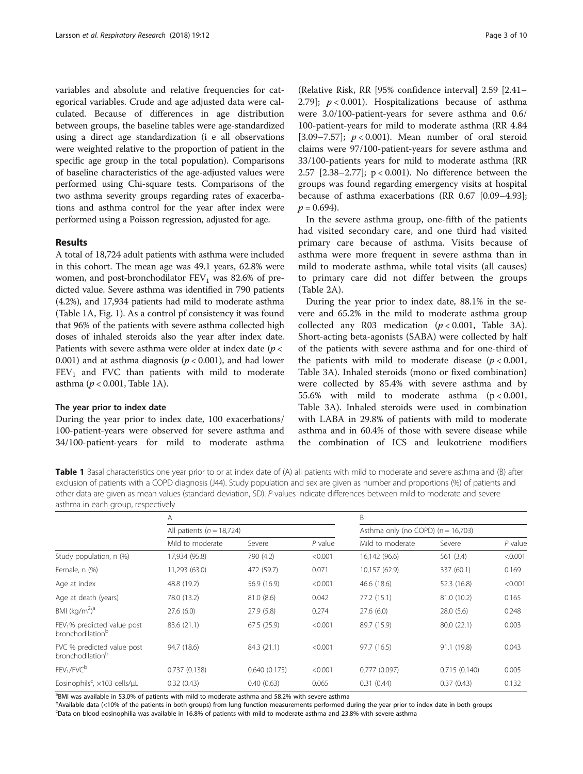<span id="page-2-0"></span>variables and absolute and relative frequencies for categorical variables. Crude and age adjusted data were calculated. Because of differences in age distribution between groups, the baseline tables were age-standardized using a direct age standardization (i e all observations were weighted relative to the proportion of patient in the specific age group in the total population). Comparisons of baseline characteristics of the age-adjusted values were performed using Chi-square tests. Comparisons of the two asthma severity groups regarding rates of exacerbations and asthma control for the year after index were performed using a Poisson regression, adjusted for age.

## Results

A total of 18,724 adult patients with asthma were included in this cohort. The mean age was 49.1 years, 62.8% were women, and post-bronchodilator  $FEV<sub>1</sub>$  was 82.6% of predicted value. Severe asthma was identified in 790 patients (4.2%), and 17,934 patients had mild to moderate asthma (Table 1A, Fig. [1\)](#page-3-0). As a control pf consistency it was found that 96% of the patients with severe asthma collected high doses of inhaled steroids also the year after index date. Patients with severe asthma were older at index date ( $p <$ 0.001) and at asthma diagnosis ( $p < 0.001$ ), and had lower  $FEV<sub>1</sub>$  and  $FVC$  than patients with mild to moderate asthma ( $p < 0.001$ , Table 1A).

## The year prior to index date

During the year prior to index date, 100 exacerbations/ 100-patient-years were observed for severe asthma and 34/100-patient-years for mild to moderate asthma

(Relative Risk, RR [95% confidence interval] 2.59 [2.41– 2.79];  $p < 0.001$ ). Hospitalizations because of asthma were 3.0/100-patient-years for severe asthma and 0.6/ 100-patient-years for mild to moderate asthma (RR 4.84 [3.09–7.57];  $p < 0.001$ ). Mean number of oral steroid claims were 97/100-patient-years for severe asthma and 33/100-patients years for mild to moderate asthma (RR 2.57 [2.38–2.77]; p < 0.001). No difference between the groups was found regarding emergency visits at hospital because of asthma exacerbations (RR 0.67 [0.09–4.93];  $p = 0.694$ .

In the severe asthma group, one-fifth of the patients had visited secondary care, and one third had visited primary care because of asthma. Visits because of asthma were more frequent in severe asthma than in mild to moderate asthma, while total visits (all causes) to primary care did not differ between the groups (Table [2A\)](#page-3-0).

During the year prior to index date, 88.1% in the severe and 65.2% in the mild to moderate asthma group collected any R03 medication  $(p < 0.001$ , Table [3A](#page-4-0)). Short-acting beta-agonists (SABA) were collected by half of the patients with severe asthma and for one-third of the patients with mild to moderate disease  $(p < 0.001,$ Table [3A\)](#page-4-0). Inhaled steroids (mono or fixed combination) were collected by 85.4% with severe asthma and by 55.6% with mild to moderate asthma  $(p < 0.001,$ Table [3A\)](#page-4-0). Inhaled steroids were used in combination with LABA in 29.8% of patients with mild to moderate asthma and in 60.4% of those with severe disease while the combination of ICS and leukotriene modifiers

**Table 1** Basal characteristics one year prior to or at index date of (A) all patients with mild to moderate and severe asthma and (B) after exclusion of patients with a COPD diagnosis (J44). Study population and sex are given as number and proportions (%) of patients and other data are given as mean values (standard deviation, SD). P-values indicate differences between mild to moderate and severe asthma in each group, respectively

|                                                                         | Α                             |              |           | B                                      |              |           |
|-------------------------------------------------------------------------|-------------------------------|--------------|-----------|----------------------------------------|--------------|-----------|
|                                                                         | All patients ( $n = 18,724$ ) |              |           | Asthma only (no COPD) ( $n = 16,703$ ) |              |           |
|                                                                         | Mild to moderate              | Severe       | $P$ value | Mild to moderate                       | Severe       | $P$ value |
| Study population, n (%)                                                 | 17,934 (95.8)                 | 790 (4.2)    | < 0.001   | 16,142 (96.6)                          | 561 (3,4)    | < 0.001   |
| Female, n (%)                                                           | 11,293 (63.0)                 | 472 (59.7)   | 0.071     | 10,157 (62.9)                          | 337 (60.1)   | 0.169     |
| Age at index                                                            | 48.8 (19.2)                   | 56.9 (16.9)  | < 0.001   | 46.6 (18.6)                            | 52.3 (16.8)  | < 0.001   |
| Age at death (years)                                                    | 78.0 (13.2)                   | 81.0(8.6)    | 0.042     | 77.2 (15.1)                            | 81.0 (10.2)  | 0.165     |
| BMI $(kq/m2)a$                                                          | 27.6(6.0)                     | 27.9(5.8)    | 0.274     | 27.6(6.0)                              | 28.0(5.6)    | 0.248     |
| FEV <sub>1</sub> % predicted value post<br>bronchodilation <sup>b</sup> | 83.6 (21.1)                   | 67.5(25.9)   | < 0.001   | 89.7 (15.9)                            | 80.0 (22.1)  | 0.003     |
| FVC % predicted value post<br>bronchodilation <sup>b</sup>              | 94.7 (18.6)                   | 84.3 (21.1)  | < 0.001   | 97.7 (16.5)                            | 91.1 (19.8)  | 0.043     |
| FEV <sub>1</sub> /FVC <sup>b</sup>                                      | 0.737(0.138)                  | 0.640(0.175) | < 0.001   | 0.777(0.097)                           | 0.715(0.140) | 0.005     |
| Eosinophils <sup>c</sup> , x103 cells/uL                                | 0.32(0.43)                    | 0.40(0.63)   | 0.065     | 0.31(0.44)                             | 0.37(0.43)   | 0.132     |

<sup>a</sup>BMI was available in 53.0% of patients with mild to moderate asthma and 58.2% with severe asthma

b<br>Pavailable data (<10% of the patients in both groups) from lung function measurements performed during the year prior to index date in both groups c Data on blood eosinophilia was available in 16.8% of patients with mild to moderate asthma and 23.8% with severe asthma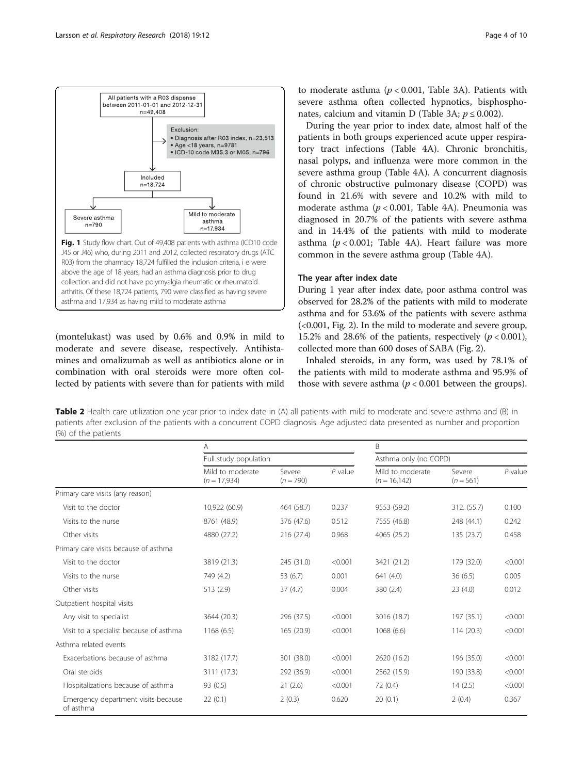

<span id="page-3-0"></span>

(montelukast) was used by 0.6% and 0.9% in mild to moderate and severe disease, respectively. Antihistamines and omalizumab as well as antibiotics alone or in combination with oral steroids were more often collected by patients with severe than for patients with mild

to moderate asthma  $(p < 0.001$ , Table [3A](#page-4-0)). Patients with severe asthma often collected hypnotics, bisphospho-nates, calcium and vitamin D (Table [3A;](#page-4-0)  $p \le 0.002$ ).

During the year prior to index date, almost half of the patients in both groups experienced acute upper respiratory tract infections (Table [4A](#page-5-0)). Chronic bronchitis, nasal polyps, and influenza were more common in the severe asthma group (Table [4A\)](#page-5-0). A concurrent diagnosis of chronic obstructive pulmonary disease (COPD) was found in 21.6% with severe and 10.2% with mild to moderate asthma  $(p < 0.001$ , Table [4A\)](#page-5-0). Pneumonia was diagnosed in 20.7% of the patients with severe asthma and in 14.4% of the patients with mild to moderate asthma ( $p < 0.001$ ; Table [4A\)](#page-5-0). Heart failure was more common in the severe asthma group (Table [4A](#page-5-0)).

#### The year after index date

During 1 year after index date, poor asthma control was observed for 28.2% of the patients with mild to moderate asthma and for 53.6% of the patients with severe asthma (<0.001, Fig. [2\)](#page-5-0). In the mild to moderate and severe group, 15.2% and 28.6% of the patients, respectively  $(p < 0.001)$ , collected more than 600 doses of SABA (Fig. [2\)](#page-5-0).

Inhaled steroids, in any form, was used by 78.1% of the patients with mild to moderate asthma and 95.9% of those with severe asthma ( $p < 0.001$  between the groups).

Table 2 Health care utilization one year prior to index date in (A) all patients with mild to moderate and severe asthma and (B) in patients after exclusion of the patients with a concurrent COPD diagnosis. Age adjusted data presented as number and proportion (%) of the patients

|                                                  | A                                  |                       |           | B                                   |                       |            |
|--------------------------------------------------|------------------------------------|-----------------------|-----------|-------------------------------------|-----------------------|------------|
|                                                  | Full study population              |                       |           | Asthma only (no COPD)               |                       |            |
|                                                  | Mild to moderate<br>$(n = 17,934)$ | Severe<br>$(n = 790)$ | $P$ value | Mild to moderate<br>$(n = 16, 142)$ | Severe<br>$(n = 561)$ | $P$ -value |
| Primary care visits (any reason)                 |                                    |                       |           |                                     |                       |            |
| Visit to the doctor                              | 10,922 (60.9)                      | 464 (58.7)            | 0.237     | 9553 (59.2)                         | 312. (55.7)           | 0.100      |
| Visits to the nurse                              | 8761 (48.9)                        | 376 (47.6)            | 0.512     | 7555 (46.8)                         | 248 (44.1)            | 0.242      |
| Other visits                                     | 4880 (27.2)                        | 216 (27.4)            | 0.968     | 4065 (25.2)                         | 135(23.7)             | 0.458      |
| Primary care visits because of asthma            |                                    |                       |           |                                     |                       |            |
| Visit to the doctor                              | 3819 (21.3)                        | 245 (31.0)            | < 0.001   | 3421 (21.2)                         | 179 (32.0)            | < 0.001    |
| Visits to the nurse                              | 749 (4.2)                          | 53 (6.7)              | 0.001     | 641 (4.0)                           | 36(6.5)               | 0.005      |
| Other visits                                     | 513 (2.9)                          | 37(4.7)               | 0.004     | 380 (2.4)                           | 23(4.0)               | 0.012      |
| Outpatient hospital visits                       |                                    |                       |           |                                     |                       |            |
| Any visit to specialist                          | 3644 (20.3)                        | 296 (37.5)            | < 0.001   | 3016 (18.7)                         | 197 (35.1)            | < 0.001    |
| Visit to a specialist because of asthma          | 1168(6.5)                          | 165 (20.9)            | < 0.001   | 1068 (6.6)                          | 114(20.3)             | < 0.001    |
| Asthma related events                            |                                    |                       |           |                                     |                       |            |
| Exacerbations because of asthma                  | 3182 (17.7)                        | 301 (38.0)            | < 0.001   | 2620 (16.2)                         | 196 (35.0)            | < 0.001    |
| Oral steroids                                    | 3111 (17.3)                        | 292 (36.9)            | < 0.001   | 2562 (15.9)                         | 190 (33.8)            | < 0.001    |
| Hospitalizations because of asthma               | 93 (0.5)                           | 21(2.6)               | < 0.001   | 72(0.4)                             | 14(2.5)               | < 0.001    |
| Emergency department visits because<br>of asthma | 22(0.1)                            | 2(0.3)                | 0.620     | 20(0.1)                             | 2(0.4)                | 0.367      |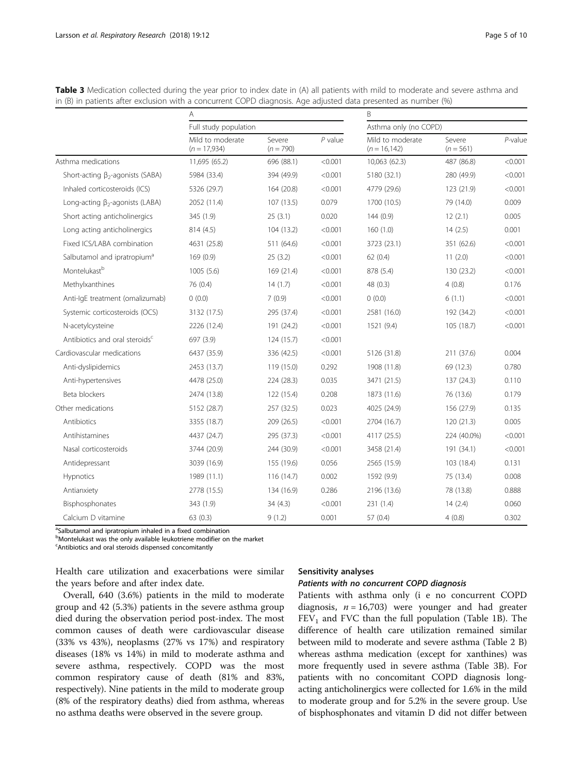|                                            | A                                  |                       |           | B                                   |                       |            |
|--------------------------------------------|------------------------------------|-----------------------|-----------|-------------------------------------|-----------------------|------------|
|                                            | Full study population              |                       |           | Asthma only (no COPD)               |                       |            |
|                                            | Mild to moderate<br>$(n = 17,934)$ | Severe<br>$(n = 790)$ | $P$ value | Mild to moderate<br>$(n = 16, 142)$ | Severe<br>$(n = 561)$ | $P$ -value |
| Asthma medications                         | 11,695 (65.2)                      | 696 (88.1)            | < 0.001   | 10,063 (62.3)                       | 487 (86.8)            | < 0.001    |
| Short-acting $\beta_2$ -agonists (SABA)    | 5984 (33.4)                        | 394 (49.9)            | < 0.001   | 5180 (32.1)                         | 280 (49.9)            | < 0.001    |
| Inhaled corticosteroids (ICS)              | 5326 (29.7)                        | 164 (20.8)            | < 0.001   | 4779 (29.6)                         | 123 (21.9)            | < 0.001    |
| Long-acting $\beta_2$ -agonists (LABA)     | 2052 (11.4)                        | 107 (13.5)            | 0.079     | 1700 (10.5)                         | 79 (14.0)             | 0.009      |
| Short acting anticholinergics              | 345 (1.9)                          | 25(3.1)               | 0.020     | 144(0.9)                            | 12(2.1)               | 0.005      |
| Long acting anticholinergics               | 814 (4.5)                          | 104 (13.2)            | < 0.001   | 160(1.0)                            | 14(2.5)               | 0.001      |
| Fixed ICS/LABA combination                 | 4631 (25.8)                        | 511 (64.6)            | < 0.001   | 3723 (23.1)                         | 351 (62.6)            | < 0.001    |
| Salbutamol and ipratropium <sup>a</sup>    | 169 (0.9)                          | 25(3.2)               | < 0.001   | 62(0.4)                             | 11(2.0)               | < 0.001    |
| Montelukast <sup>b</sup>                   | 1005 (5.6)                         | 169 (21.4)            | < 0.001   | 878 (5.4)                           | 130 (23.2)            | < 0.001    |
| Methylxanthines                            | 76 (0.4)                           | 14(1.7)               | < 0.001   | 48 (0.3)                            | 4(0.8)                | 0.176      |
| Anti-IqE treatment (omalizumab)            | 0(0.0)                             | 7(0.9)                | < 0.001   | 0(0.0)                              | 6(1.1)                | < 0.001    |
| Systemic corticosteroids (OCS)             | 3132 (17.5)                        | 295 (37.4)            | < 0.001   | 2581 (16.0)                         | 192 (34.2)            | < 0.001    |
| N-acetylcysteine                           | 2226 (12.4)                        | 191 (24.2)            | < 0.001   | 1521 (9.4)                          | 105 (18.7)            | < 0.001    |
| Antibiotics and oral steroids <sup>c</sup> | 697 (3.9)                          | 124 (15.7)            | < 0.001   |                                     |                       |            |
| Cardiovascular medications                 | 6437 (35.9)                        | 336 (42.5)            | < 0.001   | 5126 (31.8)                         | 211 (37.6)            | 0.004      |
| Anti-dyslipidemics                         | 2453 (13.7)                        | 119 (15.0)            | 0.292     | 1908 (11.8)                         | 69 (12.3)             | 0.780      |
| Anti-hypertensives                         | 4478 (25.0)                        | 224 (28.3)            | 0.035     | 3471 (21.5)                         | 137 (24.3)            | 0.110      |
| Beta blockers                              | 2474 (13.8)                        | 122 (15.4)            | 0.208     | 1873 (11.6)                         | 76 (13.6)             | 0.179      |
| Other medications                          | 5152 (28.7)                        | 257 (32.5)            | 0.023     | 4025 (24.9)                         | 156 (27.9)            | 0.135      |
| Antibiotics                                | 3355 (18.7)                        | 209 (26.5)            | < 0.001   | 2704 (16.7)                         | 120 (21.3)            | 0.005      |
| Antihistamines                             | 4437 (24.7)                        | 295 (37.3)            | < 0.001   | 4117 (25.5)                         | 224 (40.0%)           | < 0.001    |
| Nasal corticosteroids                      | 3744 (20.9)                        | 244 (30.9)            | < 0.001   | 3458 (21.4)                         | 191 (34.1)            | < 0.001    |
| Antidepressant                             | 3039 (16.9)                        | 155 (19.6)            | 0.056     | 2565 (15.9)                         | 103 (18.4)            | 0.131      |
| Hypnotics                                  | 1989 (11.1)                        | 116 (14.7)            | 0.002     | 1592 (9.9)                          | 75 (13.4)             | 0.008      |
| Antianxiety                                | 2778 (15.5)                        | 134 (16.9)            | 0.286     | 2196 (13.6)                         | 78 (13.8)             | 0.888      |
| Bisphosphonates                            | 343 (1.9)                          | 34(4.3)               | < 0.001   | 231 (1.4)                           | 14(2.4)               | 0.060      |
| Calcium D vitamine                         | 63(0.3)                            | 9(1.2)                | 0.001     | 57 (0.4)                            | 4(0.8)                | 0.302      |

<span id="page-4-0"></span>Table 3 Medication collected during the year prior to index date in (A) all patients with mild to moderate and severe asthma and in (B) in patients after exclusion with a concurrent COPD diagnosis. Age adjusted data presented as number (%)

<sup>a</sup>Salbutamol and ipratropium inhaled in a fixed combination

**b**Montelukast was the only available leukotriene modifier on the market

<sup>c</sup>Antibiotics and oral steroids dispensed concomitantly

Health care utilization and exacerbations were similar the years before and after index date.

Overall, 640 (3.6%) patients in the mild to moderate group and 42 (5.3%) patients in the severe asthma group died during the observation period post-index. The most common causes of death were cardiovascular disease (33% vs 43%), neoplasms (27% vs 17%) and respiratory diseases (18% vs 14%) in mild to moderate asthma and severe asthma, respectively. COPD was the most common respiratory cause of death (81% and 83%, respectively). Nine patients in the mild to moderate group (8% of the respiratory deaths) died from asthma, whereas no asthma deaths were observed in the severe group.

#### Sensitivity analyses

## Patients with no concurrent COPD diagnosis

Patients with asthma only (i e no concurrent COPD diagnosis,  $n = 16,703$ ) were younger and had greater  $FEV<sub>1</sub>$  and FVC than the full population (Table [1B](#page-2-0)). The difference of health care utilization remained similar between mild to moderate and severe asthma (Table [2](#page-3-0) B) whereas asthma medication (except for xanthines) was more frequently used in severe asthma (Table 3B). For patients with no concomitant COPD diagnosis longacting anticholinergics were collected for 1.6% in the mild to moderate group and for 5.2% in the severe group. Use of bisphosphonates and vitamin D did not differ between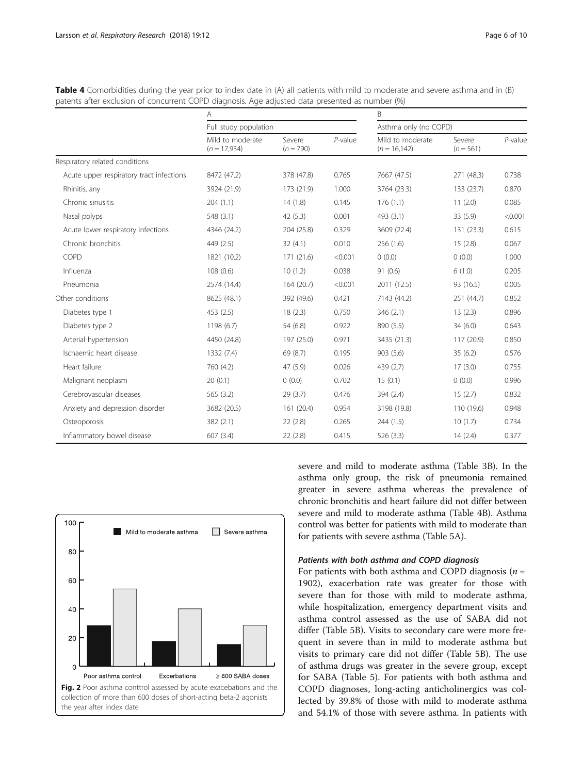|                                          | Α                                  |                       |            | B                                   |                       |            |
|------------------------------------------|------------------------------------|-----------------------|------------|-------------------------------------|-----------------------|------------|
|                                          | Full study population              |                       |            | Asthma only (no COPD)               |                       |            |
|                                          | Mild to moderate<br>$(n = 17,934)$ | Severe<br>$(n = 790)$ | $P$ -value | Mild to moderate<br>$(n = 16, 142)$ | Severe<br>$(n = 561)$ | $P$ -value |
| Respiratory related conditions           |                                    |                       |            |                                     |                       |            |
| Acute upper respiratory tract infections | 8472 (47.2)                        | 378 (47.8)            | 0.765      | 7667 (47.5)                         | 271 (48.3)            | 0.738      |
| Rhinitis, any                            | 3924 (21.9)                        | 173 (21.9)            | 1.000      | 3764 (23.3)                         | 133 (23.7)            | 0.870      |
| Chronic sinusitis                        | 204(1.1)                           | 14(1.8)               | 0.145      | 176(1.1)                            | 11(2.0)               | 0.085      |
| Nasal polyps                             | 548 (3.1)                          | 42(5.3)               | 0.001      | 493 (3.1)                           | 33(5.9)               | < 0.001    |
| Acute lower respiratory infections       | 4346 (24.2)                        | 204 (25.8)            | 0.329      | 3609 (22.4)                         | 131 (23.3)            | 0.615      |
| Chronic bronchitis                       | 449 (2.5)                          | 32(4.1)               | 0.010      | 256 (1.6)                           | 15(2.8)               | 0.067      |
| COPD                                     | 1821 (10.2)                        | 171 (21.6)            | < 0.001    | 0(0.0)                              | 0(0.0)                | 1.000      |
| Influenza                                | 108(0.6)                           | 10(1.2)               | 0.038      | 91 (0.6)                            | 6(1.0)                | 0.205      |
| Pneumonia                                | 2574 (14.4)                        | 164 (20.7)            | < 0.001    | 2011 (12.5)                         | 93 (16.5)             | 0.005      |
| Other conditions                         | 8625 (48.1)                        | 392 (49.6)            | 0.421      | 7143 (44.2)                         | 251 (44.7)            | 0.852      |
| Diabetes type 1                          | 453 (2.5)                          | 18(2.3)               | 0.750      | 346 (2.1)                           | 13(2.3)               | 0.896      |
| Diabetes type 2                          | 1198 (6.7)                         | 54 (6.8)              | 0.922      | 890 (5.5)                           | 34(6.0)               | 0.643      |
| Arterial hypertension                    | 4450 (24.8)                        | 197 (25.0)            | 0.971      | 3435 (21.3)                         | 117 (20.9)            | 0.850      |
| Ischaemic heart disease                  | 1332 (7.4)                         | 69 (8.7)              | 0.195      | 903 (5.6)                           | 35(6.2)               | 0.576      |
| Heart failure                            | 760 (4.2)                          | 47 (5.9)              | 0.026      | 439 (2.7)                           | 17(3.0)               | 0.755      |
| Malignant neoplasm                       | 20(0.1)                            | 0(0.0)                | 0.702      | 15(0.1)                             | 0(0.0)                | 0.996      |
| Cerebrovascular diseases                 | 565(3.2)                           | 29(3.7)               | 0.476      | 394 (2.4)                           | 15(2.7)               | 0.832      |
| Anxiety and depression disorder          | 3682 (20.5)                        | 161 (20.4)            | 0.954      | 3198 (19.8)                         | 110 (19.6)            | 0.948      |
| Osteoporosis                             | 382 (2.1)                          | 22(2.8)               | 0.265      | 244 (1.5)                           | 10(1.7)               | 0.734      |
| Inflammatory bowel disease               | 607 (3.4)                          | 22(2.8)               | 0.415      | 526 (3.3)                           | 14(2.4)               | 0.377      |

<span id="page-5-0"></span>Table 4 Comorbidities during the year prior to index date in (A) all patients with mild to moderate and severe asthma and in (B) patents after exclusion of concurrent COPD diagnosis. Age adjusted data presented as number (%)



severe and mild to moderate asthma (Table [3B](#page-4-0)). In the asthma only group, the risk of pneumonia remained greater in severe asthma whereas the prevalence of chronic bronchitis and heart failure did not differ between severe and mild to moderate asthma (Table 4B). Asthma control was better for patients with mild to moderate than for patients with severe asthma (Table [5A](#page-6-0)).

## Patients with both asthma and COPD diagnosis

For patients with both asthma and COPD diagnosis ( $n =$ 1902), exacerbation rate was greater for those with severe than for those with mild to moderate asthma, while hospitalization, emergency department visits and asthma control assessed as the use of SABA did not differ (Table [5B](#page-6-0)). Visits to secondary care were more frequent in severe than in mild to moderate asthma but visits to primary care did not differ (Table [5B](#page-6-0)). The use of asthma drugs was greater in the severe group, except for SABA (Table [5\)](#page-6-0). For patients with both asthma and COPD diagnoses, long-acting anticholinergics was collected by 39.8% of those with mild to moderate asthma and 54.1% of those with severe asthma. In patients with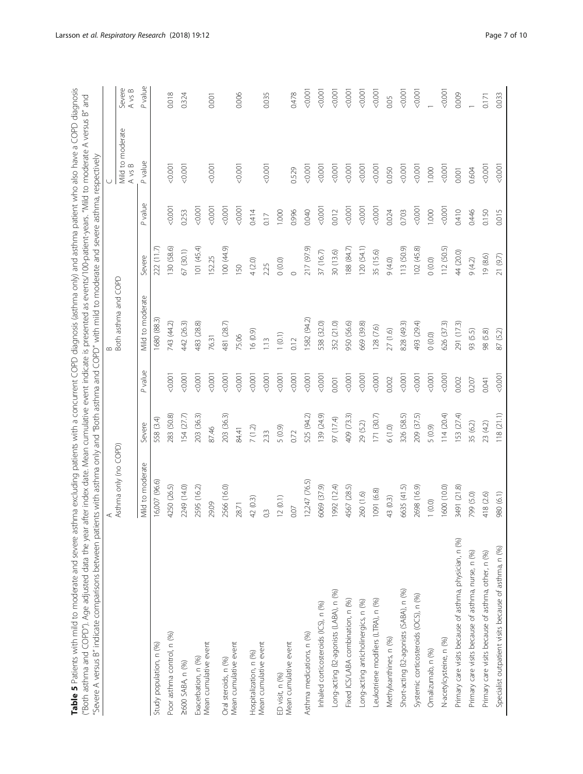| thma excluding patients with a concurrent COPD diagnosis (asthma only) and asthma patient who also have a COPD diagnosis | ir after index date. Mean cumulative event indicate is presented as events/100-patient-years. "Mild to moderate A versus B" and | ients with asthma only and "Both asthma and COPD" with mild to moderate and severe asthma, respectively |
|--------------------------------------------------------------------------------------------------------------------------|---------------------------------------------------------------------------------------------------------------------------------|---------------------------------------------------------------------------------------------------------|
| <b>rable 5</b> Patients with mild to moderate and severe asthet                                                          | "Both asthma and COPD"). Age adjusted data the yea                                                                              | severe A versus B" indicate comparisons between pati-                                                   |
|                                                                                                                          |                                                                                                                                 |                                                                                                         |

<span id="page-6-0"></span>

|                                                         | ⋖                     |            |          |                         |            |         |                            |                  |
|---------------------------------------------------------|-----------------------|------------|----------|-------------------------|------------|---------|----------------------------|------------------|
|                                                         | Asthma only (no COPD) |            |          | Both asthma and COPD    |            |         | Mild to moderate<br>A vs B | Severe<br>A vs B |
|                                                         | Mild to moderate      | Severe     | P value  | Mild to moderate        | Severe     | P value | P value                    | P value          |
| Study population, n (%)                                 | 16,007 (96.6)         | 558 (3.4)  |          | 1680 (88.3)             | 222 (11.7) |         |                            |                  |
| Poor asthma control, n (%)                              | 4250 (26.5)           | 283 (50.8) | $-0.001$ | 743 (44.2)              | 130 (58.6) | 0.001   | 0.001                      | 0.018            |
| 2600 SABA, n (%)                                        | 2249 (14.0)           | 154 (27.7) | 0.001    | 442 (26.3)              | 67 (30.1)  | 0.253   | 0.001                      | 0.324            |
| Exacerbation, n (%)                                     | 2595 (16.2)           | 203 (36.3) | $-0.001$ | 483 (28.8)              | 101 (45.4) | 0.001   |                            |                  |
| Mean cumulative event                                   | 29.09                 | 87.46      | 0.001    | 76.31                   | 152.25     | 0.001   | 0.001                      | 0.001            |
| Oral steroids, n (%)                                    | 2566 (16.0)           | 203 (36.3) | 0.001    | 481 (28.7)              | 100 (44.9) | 0.001   |                            |                  |
| Mean cumulative event                                   | 28.71                 | 84.41      | $-0.001$ | 75.06                   | 150        | 0.001   | 0.001                      | 0.006            |
| Hospitalization, n (%)                                  | 42 (0.3)              | 7(1.2)     | 0.001    | 16 (0.9)                | 4(2.0)     | 0.414   |                            |                  |
| Mean cumulative event                                   | 0 <sup>3</sup>        | 2.33       | 0.001    | 1.13                    | 2.25       | 0.17    | 0.001                      | 0.035            |
| ED visit, n (%)                                         | 12(0.1)               | 5 (0.9)    | 0.001    | 1(0.1)                  | (0.0)      | 1.000   |                            |                  |
| Mean cumulative event                                   | 0.07                  | 0.72       | $-0.001$ | 0.12                    | $\circ$    | 0.996   | 0.529                      | 0.478            |
| Asthma medications, n (%)                               | 12,247 (76.5)         | 525 (94.2) | 0.001    | 1582 (94.2)             | 217 (97.9) | 0.040   | 0.001                      | 00000            |
| Inhaled corticosteroids (ICS), n (%)                    | 6069 (37.9)           | 139 (24.9) | 0.001    | 538 (32.0)              | 37 (16.7)  | 0.001   | 0.001                      | 0.001            |
| Long-acting B2-agonists (LABA), n (%)                   | 1992 (12.4)           | 97 (17.4)  | 0.001    | 352 (21.0)              | 30 (13.6)  | 0.012   | 0.001                      | 0.001            |
| Fixed ICS/LABA combination, n (%)                       | 4567 (28.5)           | 409 (73.3) | $-0.001$ | 950 (56.6)              | 188 (84.7) | 0.001   | 0.001                      | 0.001            |
| Long-acting anticholinergics, n (%)                     | 260 (1.6)             | 29 (5.2)   | 0.001    | 669 (39.8)              | 120 (54.1) | 0.001   | 0.001                      | 0.001            |
| Leukotriene modifiers (LTRA), n (%)                     | 1091 (6.8)            | 171 (30.7) | 0.001    | 128 (7.6)               | 35 (15.6)  | 0.001   | 0.001                      | 0.001            |
| Methylxanthines, n (%)                                  | 43 <sub>(0.3)</sub>   | 6(1.0)     | 0.002    | 27(1.6)                 | (0.40)     | 0.024   | 0.050                      | 0.05             |
| Short-acting B2-agonists (SABA), n (%)                  | 6635 (41.5)           | 326 (58.5) | 0.001    | 828 (49.3)              | 113 (50.9) | 0.703   | < 0.001                    | 0.001            |
| Systemic corticosteroids (OCS), n (%)                   | 2698 (16.9)           | 209 (37.5) | $-0.001$ | 493 (29.4)              | 102 (45.8) | 0.001   | 0.001                      | 0.001            |
| Omalizumab, n (%)                                       | (0.0)                 | 5 (0.9)    | 0.001    | (0.0)                   | (0.0)      | 1.000   | 1.000                      |                  |
| N-acetylcysteine, n (%)                                 | 1600 (10.0)           | 114 (20.4) | 0.001    | 626 (37.3)              | 112 (50.5) | 0.001   | 0.001                      | 0.001            |
| Primary care visits because of asthma, physician, n (%) | 3491 (21.8)           | 153 (27.4) | 0.002    | 291 (173)               | 44 (20.0)  | 0.410   | 0.001                      | 0.009            |
| Primary care visits because of asthma, nurse, n (%)     | 799 (5.0)             | 35 (6.2)   | 0.207    | 93 (5.5)                | 9(4.2)     | 0.446   | 0.604                      |                  |
| Primary care visits because of asthma, other, n (%)     | 418 (2.6)             | 23 (4.2)   | 0.041    | 98 (5.8)                | 19 (8.6)   | 0.150   | 0.001                      | 0.171            |
| Specialist outpatient visits because of asthma, n (%)   | 980 (6.1)             | 118(21.1)  | 0.001    | (5.2)<br>$\overline{8}$ | 21 (9.7)   | 0.015   | 0.001                      | 0.033            |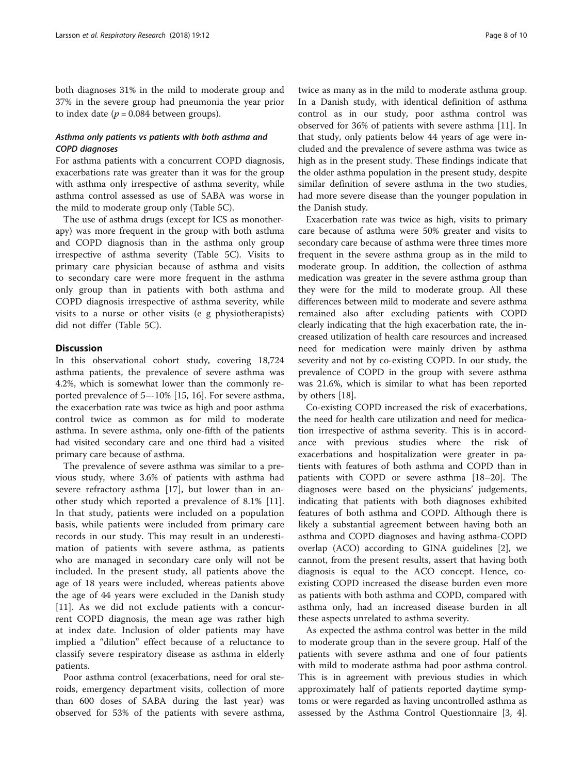both diagnoses 31% in the mild to moderate group and 37% in the severe group had pneumonia the year prior to index date ( $p = 0.084$  between groups).

## Asthma only patients vs patients with both asthma and COPD diagnoses

For asthma patients with a concurrent COPD diagnosis, exacerbations rate was greater than it was for the group with asthma only irrespective of asthma severity, while asthma control assessed as use of SABA was worse in the mild to moderate group only (Table [5C](#page-6-0)).

The use of asthma drugs (except for ICS as monotherapy) was more frequent in the group with both asthma and COPD diagnosis than in the asthma only group irrespective of asthma severity (Table [5C](#page-6-0)). Visits to primary care physician because of asthma and visits to secondary care were more frequent in the asthma only group than in patients with both asthma and COPD diagnosis irrespective of asthma severity, while visits to a nurse or other visits (e g physiotherapists) did not differ (Table [5C](#page-6-0)).

## **Discussion**

In this observational cohort study, covering 18,724 asthma patients, the prevalence of severe asthma was 4.2%, which is somewhat lower than the commonly reported prevalence of 5–-10% [[15, 16\]](#page-9-0). For severe asthma, the exacerbation rate was twice as high and poor asthma control twice as common as for mild to moderate asthma. In severe asthma, only one-fifth of the patients had visited secondary care and one third had a visited primary care because of asthma.

The prevalence of severe asthma was similar to a previous study, where 3.6% of patients with asthma had severe refractory asthma [[17\]](#page-9-0), but lower than in another study which reported a prevalence of 8.1% [[11](#page-9-0)]. In that study, patients were included on a population basis, while patients were included from primary care records in our study. This may result in an underestimation of patients with severe asthma, as patients who are managed in secondary care only will not be included. In the present study, all patients above the age of 18 years were included, whereas patients above the age of 44 years were excluded in the Danish study [[11\]](#page-9-0). As we did not exclude patients with a concurrent COPD diagnosis, the mean age was rather high at index date. Inclusion of older patients may have implied a "dilution" effect because of a reluctance to classify severe respiratory disease as asthma in elderly patients.

Poor asthma control (exacerbations, need for oral steroids, emergency department visits, collection of more than 600 doses of SABA during the last year) was observed for 53% of the patients with severe asthma,

twice as many as in the mild to moderate asthma group. In a Danish study, with identical definition of asthma control as in our study, poor asthma control was observed for 36% of patients with severe asthma [\[11](#page-9-0)]. In that study, only patients below 44 years of age were included and the prevalence of severe asthma was twice as high as in the present study. These findings indicate that the older asthma population in the present study, despite similar definition of severe asthma in the two studies, had more severe disease than the younger population in the Danish study.

Exacerbation rate was twice as high, visits to primary care because of asthma were 50% greater and visits to secondary care because of asthma were three times more frequent in the severe asthma group as in the mild to moderate group. In addition, the collection of asthma medication was greater in the severe asthma group than they were for the mild to moderate group. All these differences between mild to moderate and severe asthma remained also after excluding patients with COPD clearly indicating that the high exacerbation rate, the increased utilization of health care resources and increased need for medication were mainly driven by asthma severity and not by co-existing COPD. In our study, the prevalence of COPD in the group with severe asthma was 21.6%, which is similar to what has been reported by others [[18\]](#page-9-0).

Co-existing COPD increased the risk of exacerbations, the need for health care utilization and need for medication irrespective of asthma severity. This is in accordance with previous studies where the risk of exacerbations and hospitalization were greater in patients with features of both asthma and COPD than in patients with COPD or severe asthma [\[18](#page-9-0)–[20\]](#page-9-0). The diagnoses were based on the physicians' judgements, indicating that patients with both diagnoses exhibited features of both asthma and COPD. Although there is likely a substantial agreement between having both an asthma and COPD diagnoses and having asthma-COPD overlap (ACO) according to GINA guidelines [[2\]](#page-9-0), we cannot, from the present results, assert that having both diagnosis is equal to the ACO concept. Hence, coexisting COPD increased the disease burden even more as patients with both asthma and COPD, compared with asthma only, had an increased disease burden in all these aspects unrelated to asthma severity.

As expected the asthma control was better in the mild to moderate group than in the severe group. Half of the patients with severe asthma and one of four patients with mild to moderate asthma had poor asthma control. This is in agreement with previous studies in which approximately half of patients reported daytime symptoms or were regarded as having uncontrolled asthma as assessed by the Asthma Control Questionnaire [\[3](#page-9-0), [4](#page-9-0)].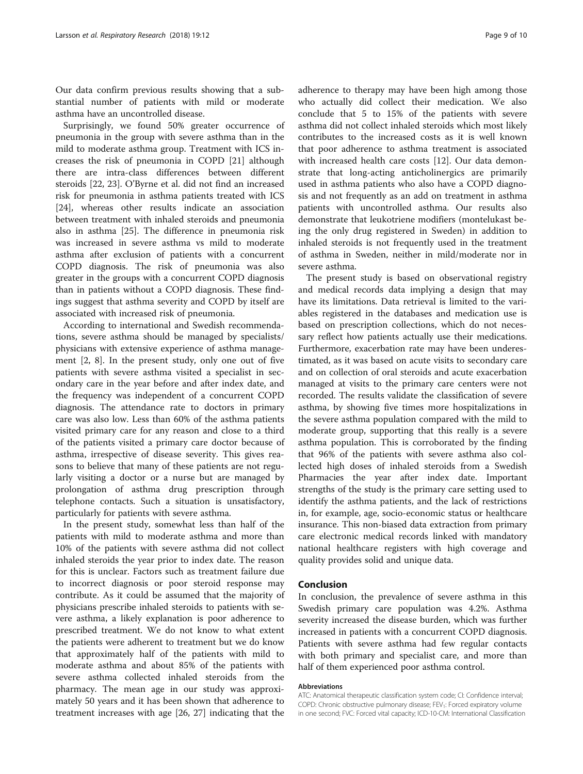Our data confirm previous results showing that a substantial number of patients with mild or moderate asthma have an uncontrolled disease.

Surprisingly, we found 50% greater occurrence of pneumonia in the group with severe asthma than in the mild to moderate asthma group. Treatment with ICS increases the risk of pneumonia in COPD [\[21\]](#page-9-0) although there are intra-class differences between different steroids [[22](#page-9-0), [23\]](#page-9-0). O'Byrne et al. did not find an increased risk for pneumonia in asthma patients treated with ICS [[24\]](#page-9-0), whereas other results indicate an association between treatment with inhaled steroids and pneumonia also in asthma [[25\]](#page-9-0). The difference in pneumonia risk was increased in severe asthma vs mild to moderate asthma after exclusion of patients with a concurrent COPD diagnosis. The risk of pneumonia was also greater in the groups with a concurrent COPD diagnosis than in patients without a COPD diagnosis. These findings suggest that asthma severity and COPD by itself are associated with increased risk of pneumonia.

According to international and Swedish recommendations, severe asthma should be managed by specialists/ physicians with extensive experience of asthma management [\[2](#page-9-0), [8\]](#page-9-0). In the present study, only one out of five patients with severe asthma visited a specialist in secondary care in the year before and after index date, and the frequency was independent of a concurrent COPD diagnosis. The attendance rate to doctors in primary care was also low. Less than 60% of the asthma patients visited primary care for any reason and close to a third of the patients visited a primary care doctor because of asthma, irrespective of disease severity. This gives reasons to believe that many of these patients are not regularly visiting a doctor or a nurse but are managed by prolongation of asthma drug prescription through telephone contacts. Such a situation is unsatisfactory, particularly for patients with severe asthma.

In the present study, somewhat less than half of the patients with mild to moderate asthma and more than 10% of the patients with severe asthma did not collect inhaled steroids the year prior to index date. The reason for this is unclear. Factors such as treatment failure due to incorrect diagnosis or poor steroid response may contribute. As it could be assumed that the majority of physicians prescribe inhaled steroids to patients with severe asthma, a likely explanation is poor adherence to prescribed treatment. We do not know to what extent the patients were adherent to treatment but we do know that approximately half of the patients with mild to moderate asthma and about 85% of the patients with severe asthma collected inhaled steroids from the pharmacy. The mean age in our study was approximately 50 years and it has been shown that adherence to treatment increases with age [\[26, 27](#page-9-0)] indicating that the

adherence to therapy may have been high among those who actually did collect their medication. We also conclude that 5 to 15% of the patients with severe asthma did not collect inhaled steroids which most likely contributes to the increased costs as it is well known that poor adherence to asthma treatment is associated with increased health care costs [\[12\]](#page-9-0). Our data demonstrate that long-acting anticholinergics are primarily used in asthma patients who also have a COPD diagnosis and not frequently as an add on treatment in asthma patients with uncontrolled asthma. Our results also demonstrate that leukotriene modifiers (montelukast being the only drug registered in Sweden) in addition to inhaled steroids is not frequently used in the treatment of asthma in Sweden, neither in mild/moderate nor in severe asthma.

The present study is based on observational registry and medical records data implying a design that may have its limitations. Data retrieval is limited to the variables registered in the databases and medication use is based on prescription collections, which do not necessary reflect how patients actually use their medications. Furthermore, exacerbation rate may have been underestimated, as it was based on acute visits to secondary care and on collection of oral steroids and acute exacerbation managed at visits to the primary care centers were not recorded. The results validate the classification of severe asthma, by showing five times more hospitalizations in the severe asthma population compared with the mild to moderate group, supporting that this really is a severe asthma population. This is corroborated by the finding that 96% of the patients with severe asthma also collected high doses of inhaled steroids from a Swedish Pharmacies the year after index date. Important strengths of the study is the primary care setting used to identify the asthma patients, and the lack of restrictions in, for example, age, socio-economic status or healthcare insurance. This non-biased data extraction from primary care electronic medical records linked with mandatory national healthcare registers with high coverage and quality provides solid and unique data.

#### Conclusion

In conclusion, the prevalence of severe asthma in this Swedish primary care population was 4.2%. Asthma severity increased the disease burden, which was further increased in patients with a concurrent COPD diagnosis. Patients with severe asthma had few regular contacts with both primary and specialist care, and more than half of them experienced poor asthma control.

#### Abbreviations

ATC: Anatomical therapeutic classification system code; CI: Confidence interval; COPD: Chronic obstructive pulmonary disease; FEV<sub>1</sub>: Forced expiratory volume in one second; FVC: Forced vital capacity; ICD-10-CM: International Classification